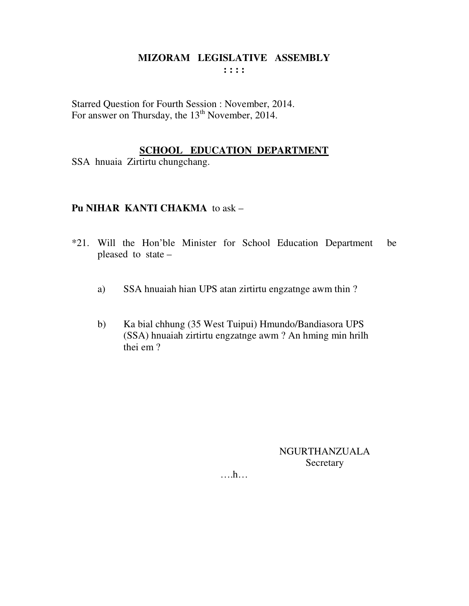## MIZORAM LEGISLATIVE ASSEMBLY  $: : : :$

Starred Question for Fourth Session : November, 2014. For answer on Thursday, the 13<sup>th</sup> November, 2014.

## **SCHOOL EDUCATION DEPARTMENT**

SSA hnuaia Zirtirtu chungchang.

## **Pu NIHAR KANTI CHAKMA** to ask -

- \*21. Will the Hon'ble Minister for School Education Department be pleased to state -
	- SSA hnuaiah hian UPS atan zirtirtu engzatnge awm thin? a)
	- Ka bial chhung (35 West Tuipui) Hmundo/Bandiasora UPS  $b)$ (SSA) hnuaiah zirtirtu engzatnge awm ? An hming min hrilh thei em?

**NGURTHANZUALA** Secretary

 $\dots h\dots$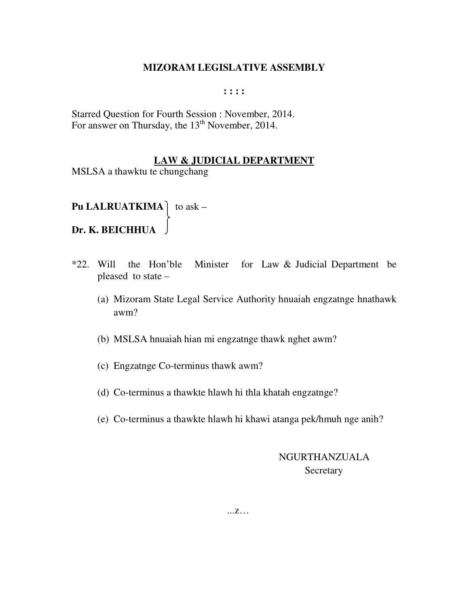**: : : :** 

Starred Question for Fourth Session : November, 2014. For answer on Thursday, the  $13<sup>th</sup>$  November, 2014.

## **LAW & JUDICIAL DEPARTMENT**

MSLSA a thawktu te chungchang

**Pu LALRUATKIMA** to ask – **Dr. K. BEICHHUA** 

- \*22. Will the Hon'ble Minister for Law & Judicial Department be pleased to state –
	- (a) Mizoram State Legal Service Authority hnuaiah engzatnge hnathawk awm?
	- (b) MSLSA hnuaiah hian mi engzatnge thawk nghet awm?
	- (c) Engzatnge Co-terminus thawk awm?
	- (d) Co-terminus a thawkte hlawh hi thla khatah engzatnge?
	- (e) Co-terminus a thawkte hlawh hi khawi atanga pek/hmuh nge anih?

 NGURTHANZUALA Secretary

...z…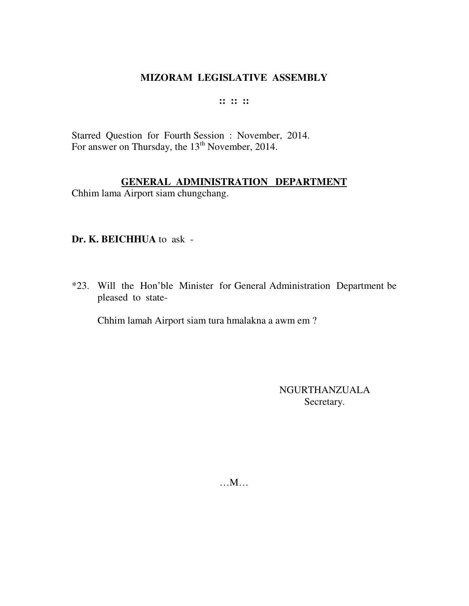## **:: :: ::**

Starred Question for Fourth Session : November, 2014. For answer on Thursday, the 13<sup>th</sup> November, 2014.

## **GENERAL ADMINISTRATION DEPARTMENT**

Chhim lama Airport siam chungchang.

#### **Dr. K. BEICHHUA** to ask -

\*23. Will the Hon'ble Minister for General Administration Department be pleased to state-

Chhim lamah Airport siam tura hmalakna a awm em ?

NGURTHANZUALA Secretary.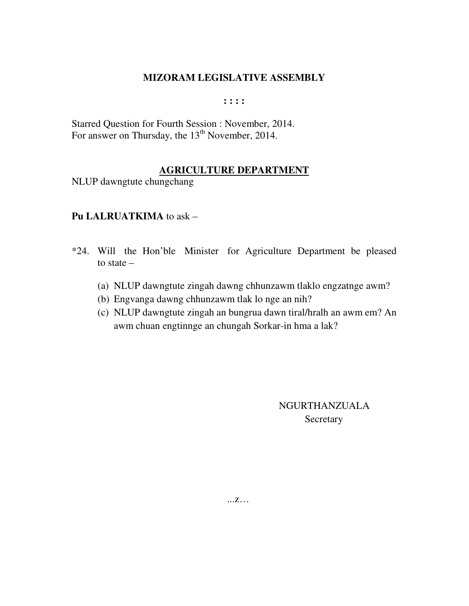**: : : :** 

Starred Question for Fourth Session : November, 2014. For answer on Thursday, the 13<sup>th</sup> November, 2014.

## **AGRICULTURE DEPARTMENT**

NLUP dawngtute chungchang

## **Pu LALRUATKIMA** to ask –

- \*24. Will the Hon'ble Minister for Agriculture Department be pleased to state –
	- (a) NLUP dawngtute zingah dawng chhunzawm tlaklo engzatnge awm?
	- (b) Engvanga dawng chhunzawm tlak lo nge an nih?
	- (c) NLUP dawngtute zingah an bungrua dawn tiral/hralh an awm em? An awm chuan engtinnge an chungah Sorkar-in hma a lak?

 NGURTHANZUALA **Secretary** 

...z…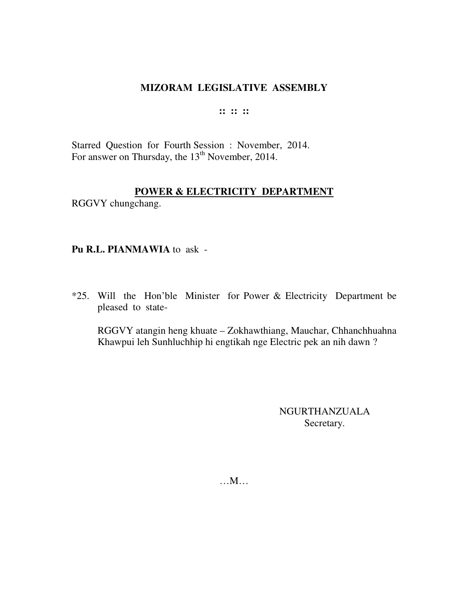#### **:: :: ::**

Starred Question for Fourth Session : November, 2014. For answer on Thursday, the 13<sup>th</sup> November, 2014.

## **POWER & ELECTRICITY DEPARTMENT**

RGGVY chungchang.

#### **Pu R.L. PIANMAWIA** to ask -

\*25. Will the Hon'ble Minister for Power & Electricity Department be pleased to state-

 RGGVY atangin heng khuate – Zokhawthiang, Mauchar, Chhanchhuahna Khawpui leh Sunhluchhip hi engtikah nge Electric pek an nih dawn ?

> NGURTHANZUALA Secretary.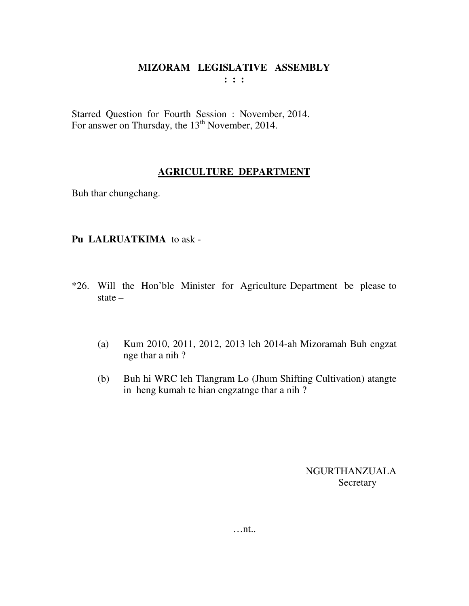Starred Question for Fourth Session : November, 2014. For answer on Thursday, the  $13<sup>th</sup>$  November, 2014.

## **AGRICULTURE DEPARTMENT**

Buh thar chungchang.

## **Pu LALRUATKIMA** to ask -

- \*26. Will the Hon'ble Minister for Agriculture Department be please to state –
	- (a) Kum 2010, 2011, 2012, 2013 leh 2014-ah Mizoramah Buh engzat nge thar a nih ?
	- (b) Buh hi WRC leh Tlangram Lo (Jhum Shifting Cultivation) atangte in heng kumah te hian engzatnge thar a nih ?

NGURTHANZUALA Secretary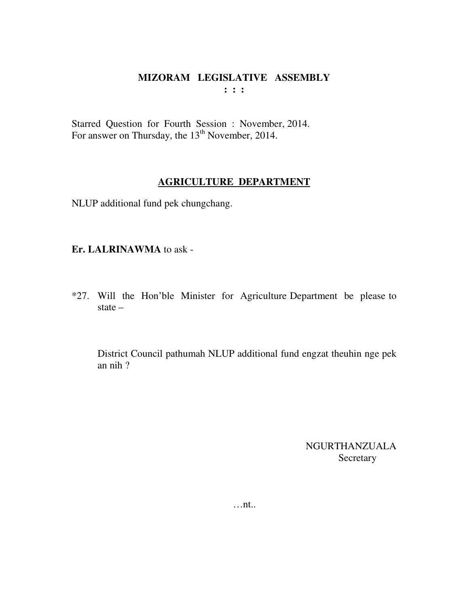Starred Question for Fourth Session : November, 2014. For answer on Thursday, the 13<sup>th</sup> November, 2014.

## **AGRICULTURE DEPARTMENT**

NLUP additional fund pek chungchang.

## **Er. LALRINAWMA** to ask -

\*27. Will the Hon'ble Minister for Agriculture Department be please to state –

 District Council pathumah NLUP additional fund engzat theuhin nge pek an nih ?

> NGURTHANZUALA Secretary

…nt..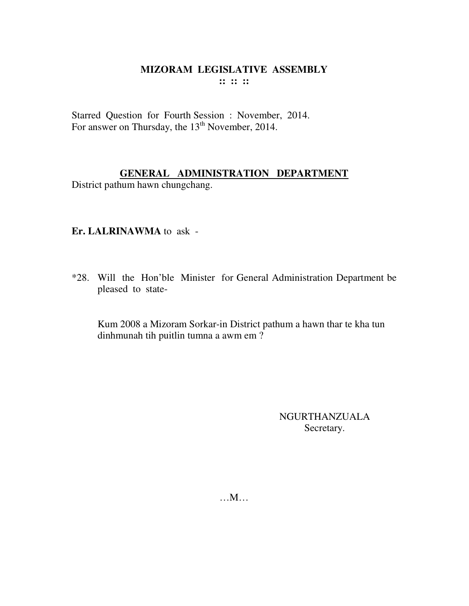## **MIZORAM LEGISLATIVE ASSEMBLY :: :: ::**

Starred Question for Fourth Session : November, 2014. For answer on Thursday, the 13<sup>th</sup> November, 2014.

## **GENERAL ADMINISTRATION DEPARTMENT**

District pathum hawn chungchang.

## **Er. LALRINAWMA** to ask -

\*28. Will the Hon'ble Minister for General Administration Department be pleased to state-

 Kum 2008 a Mizoram Sorkar-in District pathum a hawn thar te kha tun dinhmunah tih puitlin tumna a awm em ?

> NGURTHANZUALA Secretary.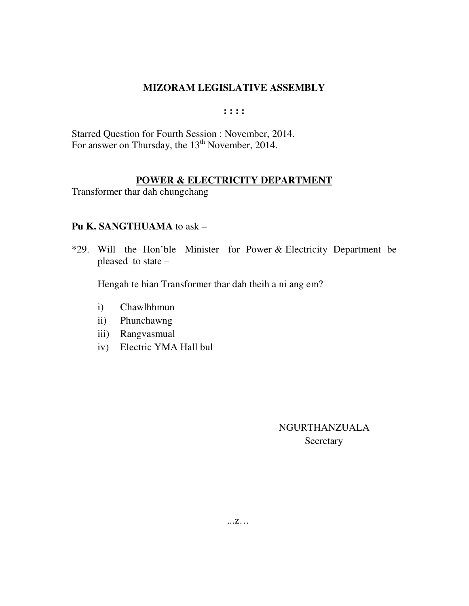$: : : :$ 

Starred Question for Fourth Session : November, 2014. For answer on Thursday, the  $13^{th}$  November, 2014.

### POWER & ELECTRICITY DEPARTMENT

Transformer thar dah chungchang

## Pu K. SANGTHUAMA to ask -

\*29. Will the Hon'ble Minister for Power & Electricity Department be pleased to state –

Hengah te hian Transformer thar dah theih a ni ang em?

- Chawlhhmun  $i)$
- Phunchawng  $\mathbf{ii}$
- iii) Rangvasmual
- iv) Electric YMA Hall bul

NGURTHANZUALA Secretary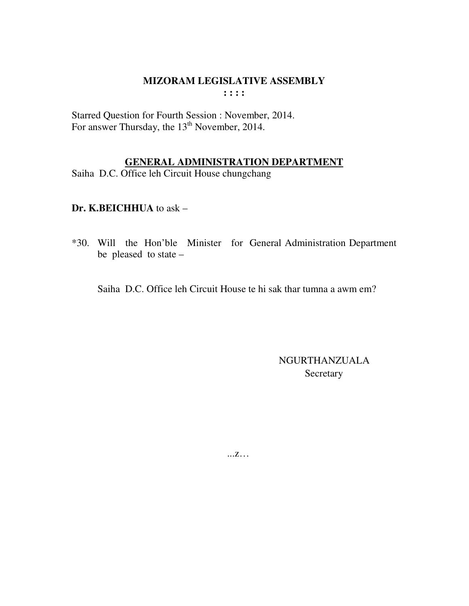Starred Question for Fourth Session : November, 2014. For answer Thursday, the 13<sup>th</sup> November, 2014.

## **GENERAL ADMINISTRATION DEPARTMENT**

Saiha D.C. Office leh Circuit House chungchang

Dr. K.BEICHHUA to ask -

\*30. Will the Hon'ble Minister for General Administration Department be pleased to state -

Saiha D.C. Office leh Circuit House te hi sak thar tumna a awm em?

NGURTHANZUALA Secretary

 $\dots Z\dots$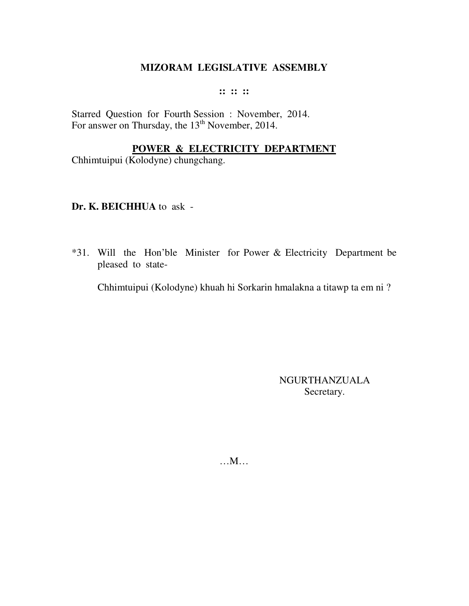#### **:: :: ::**

Starred Question for Fourth Session : November, 2014. For answer on Thursday, the 13<sup>th</sup> November, 2014.

## **POWER & ELECTRICITY DEPARTMENT**

Chhimtuipui (Kolodyne) chungchang.

## **Dr. K. BEICHHUA** to ask -

\*31. Will the Hon'ble Minister for Power & Electricity Department be pleased to state-

Chhimtuipui (Kolodyne) khuah hi Sorkarin hmalakna a titawp ta em ni ?

NGURTHANZUALA Secretary.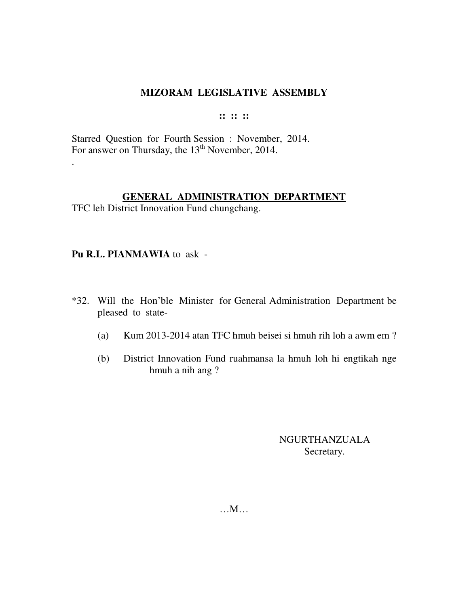#### **:: :: ::**

Starred Question for Fourth Session : November, 2014. For answer on Thursday, the 13<sup>th</sup> November, 2014.

## **GENERAL ADMINISTRATION DEPARTMENT**

TFC leh District Innovation Fund chungchang.

## **Pu R.L. PIANMAWIA** to ask -

.

- \*32. Will the Hon'ble Minister for General Administration Department be pleased to state-
	- (a) Kum 2013-2014 atan TFC hmuh beisei si hmuh rih loh a awm em ?
	- (b) District Innovation Fund ruahmansa la hmuh loh hi engtikah nge hmuh a nih ang ?

NGURTHANZUALA Secretary.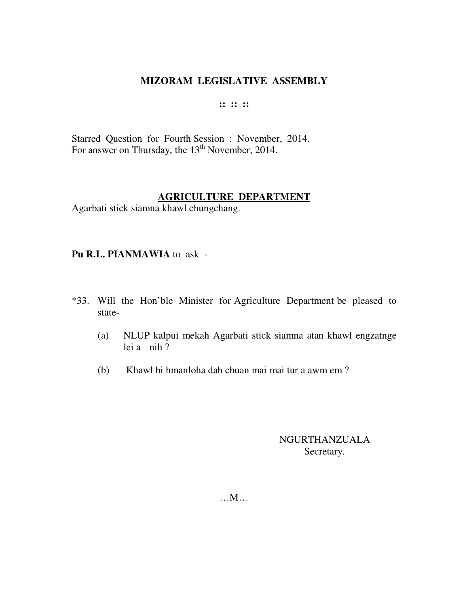#### **:: :: ::**

Starred Question for Fourth Session : November, 2014. For answer on Thursday, the 13<sup>th</sup> November, 2014.

#### **AGRICULTURE DEPARTMENT**

Agarbati stick siamna khawl chungchang.

## **Pu R.L. PIANMAWIA** to ask -

- \*33. Will the Hon'ble Minister for Agriculture Department be pleased to state-
	- (a) NLUP kalpui mekah Agarbati stick siamna atan khawl engzatnge lei a nih  $\overline{?}$
	- (b) Khawl hi hmanloha dah chuan mai mai tur a awm em ?

## NGURTHANZUALA Secretary.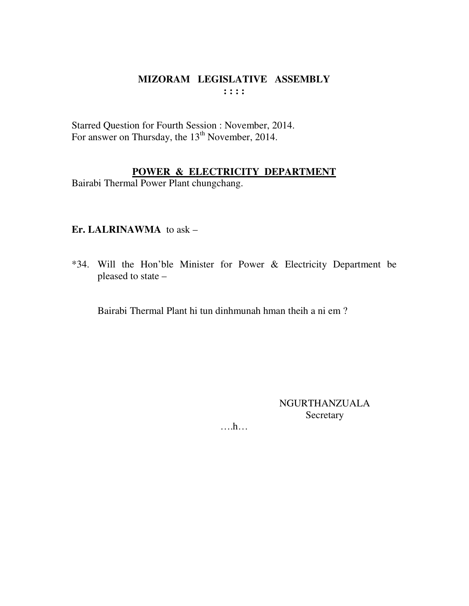## MIZORAM LEGISLATIVE ASSEMBLY  $: : : :$

Starred Question for Fourth Session : November, 2014. For answer on Thursday, the 13<sup>th</sup> November, 2014.

## POWER & ELECTRICITY DEPARTMENT

Bairabi Thermal Power Plant chungchang.

## Er. LALRINAWMA to ask -

\*34. Will the Hon'ble Minister for Power & Electricity Department be pleased to state -

Bairabi Thermal Plant hi tun dinhmunah hman theih a ni em?

**NGURTHANZUALA** Secretary

 $\dots$ ...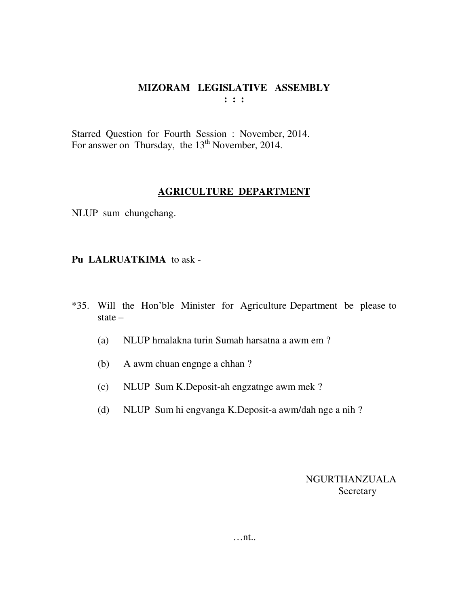Starred Question for Fourth Session : November, 2014. For answer on Thursday, the  $13<sup>th</sup>$  November, 2014.

## **AGRICULTURE DEPARTMENT**

NLUP sum chungchang.

## **Pu LALRUATKIMA** to ask -

- \*35. Will the Hon'ble Minister for Agriculture Department be please to state –
	- (a) NLUP hmalakna turin Sumah harsatna a awm em ?
	- (b) A awm chuan engnge a chhan ?
	- (c) NLUP Sum K.Deposit-ah engzatnge awm mek ?
	- (d) NLUP Sum hi engvanga K.Deposit-a awm/dah nge a nih ?

NGURTHANZUALA Secretary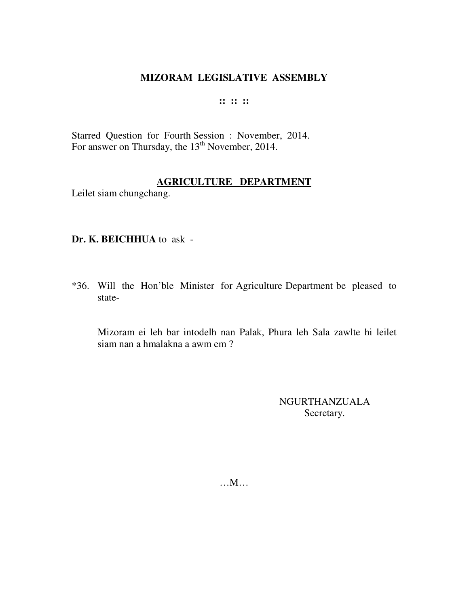#### **:: :: ::**

Starred Question for Fourth Session : November, 2014. For answer on Thursday, the 13<sup>th</sup> November, 2014.

## **AGRICULTURE DEPARTMENT**

Leilet siam chungchang.

## **Dr. K. BEICHHUA** to ask -

\*36. Will the Hon'ble Minister for Agriculture Department be pleased to state-

 Mizoram ei leh bar intodelh nan Palak, Phura leh Sala zawlte hi leilet siam nan a hmalakna a awm em ?

> NGURTHANZUALA Secretary.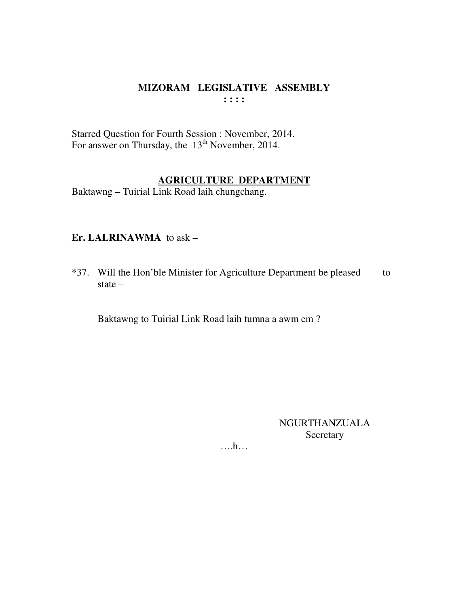## MIZORAM LEGISLATIVE ASSEMBLY  $: : : :$

Starred Question for Fourth Session : November, 2014.<br>For answer on Thursday, the 13<sup>th</sup> November, 2014.

**AGRICULTURE DEPARTMENT**<br>Baktawng – Tuirial Link Road laih chungchang.

## Er. LALRINAWMA to ask -

\*37. Will the Hon'ble Minister for Agriculture Department be pleased to state  $-$ 

Baktawng to Tuirial Link Road laih tumna a awm em?

**NGURTHANZUALA** Secretary

 $\dots h\dots$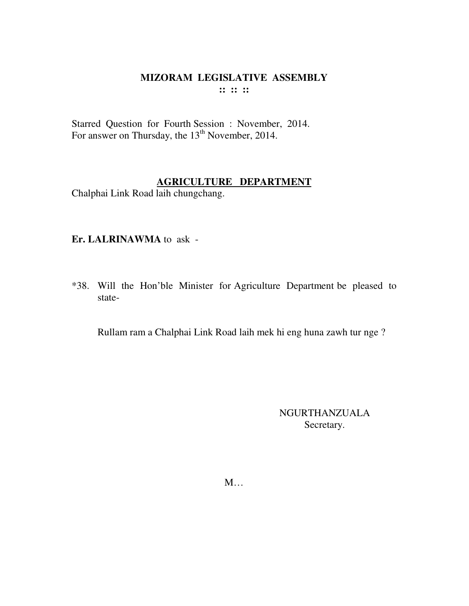#### **MIZORAM LEGISLATIVE ASSEMBLY :: :: ::**

Starred Question for Fourth Session : November, 2014. For answer on Thursday, the 13<sup>th</sup> November, 2014.

## **AGRICULTURE DEPARTMENT**

Chalphai Link Road laih chungchang.

## **Er. LALRINAWMA** to ask -

\*38. Will the Hon'ble Minister for Agriculture Department be pleased to state-

Rullam ram a Chalphai Link Road laih mek hi eng huna zawh tur nge ?

NGURTHANZUALA Secretary.

M…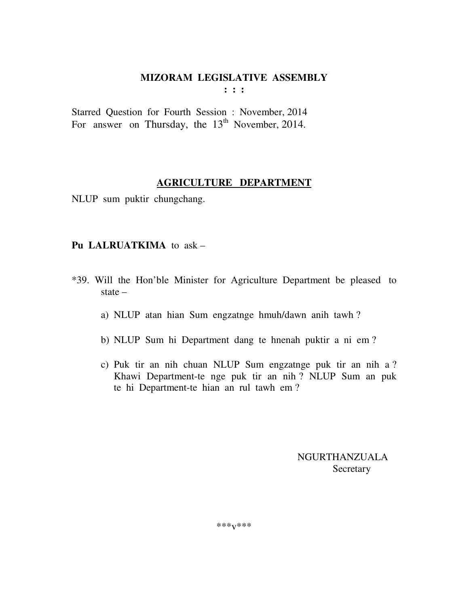**: : :** 

Starred Question for Fourth Session : November, 2014 For answer on Thursday, the  $13<sup>th</sup>$  November, 2014.

## **AGRICULTURE DEPARTMENT**

NLUP sum puktir chungchang.

## **Pu LALRUATKIMA** to ask –

- \*39. Will the Hon'ble Minister for Agriculture Department be pleased to state –
	- a) NLUP atan hian Sum engzatnge hmuh/dawn anih tawh ?
	- b) NLUP Sum hi Department dang te hnenah puktir a ni em ?
	- c) Puk tir an nih chuan NLUP Sum engzatnge puk tir an nih a ? Khawi Department-te nge puk tir an nih ? NLUP Sum an puk te hi Department-te hian an rul tawh em ?

 NGURTHANZUALA Secretary